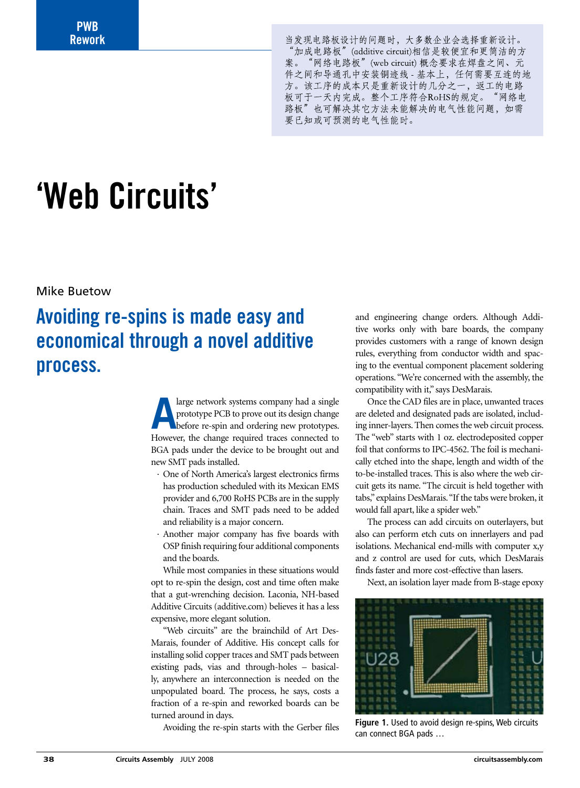**PWB Rework**

当发现电路板设计的问题时,大多数企业会选择重新设计。 "加成电路板" (additive circuit)相信是较便宜和更简洁的方 案。"网络电路板" (web circuit) 概念要求在焊盘之间、元 件之间和导通孔中安装铜迹线 - 基本上, 任何需要互连的地 方。该工序的成本只是重新设计的几分之一, 返工的电路 板可于一天内完成。整个工序符合RoHS的规定。"网络电 路板"也可解决其它方法未能解决的电气性能问题,如需 要已知或可预测的电气性能时。

# **'Web Circuits'**

Mike Buetow

# **Avoiding re-spins is made easy and economical through a novel additive process.**

**A** large network systems company had a single<br>prototype PCB to prove out its design change<br>before re-spin and ordering new prototypes. prototype PCB to prove out its design change before re-spin and ordering new prototypes. However, the change required traces connected to BGA pads under the device to be brought out and new SMT pads installed.

- · One of North America's largest electronics firms has production scheduled with its Mexican EMS provider and 6,700 RoHS PCBs are in the supply chain. Traces and SMT pads need to be added and reliability is a major concern.
- · Another major company has five boards with OSP finish requiring four additional components and the boards.

While most companies in these situations would opt to re-spin the design, cost and time often make that a gut-wrenching decision. Laconia, NH-based Additive Circuits (additive.com) believes it has a less expensive, more elegant solution.

"Web circuits" are the brainchild of Art Des-Marais, founder of Additive. His concept calls for installing solid copper traces and SMT pads between existing pads, vias and through-holes – basically, anywhere an interconnection is needed on the unpopulated board. The process, he says, costs a fraction of a re-spin and reworked boards can be turned around in days.

Avoiding the re-spin starts with the Gerber files

and engineering change orders. Although Additive works only with bare boards, the company provides customers with a range of known design rules, everything from conductor width and spacing to the eventual component placement soldering operations. "We're concerned with the assembly, the compatibility with it," says DesMarais.

Once the CAD files are in place, unwanted traces are deleted and designated pads are isolated, including inner-layers. Then comes the web circuit process. The "web" starts with 1 oz. electrodeposited copper foil that conforms to IPC-4562. The foil is mechanically etched into the shape, length and width of the to-be-installed traces. This is also where the web circuit gets its name. "The circuit is held together with tabs," explains DesMarais. "If the tabs were broken, it would fall apart, like a spider web."

The process can add circuits on outerlayers, but also can perform etch cuts on innerlayers and pad isolations. Mechanical end-mills with computer x,y and z control are used for cuts, which DesMarais finds faster and more cost-effective than lasers.

Next, an isolation layer made from B-stage epoxy



**Figure 1.** Used to avoid design re-spins, Web circuits can connect BGA pads …